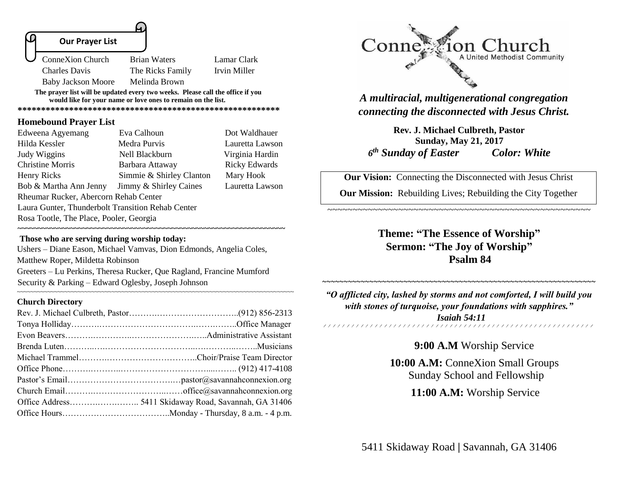

Charles Davis The Ricks Family Irvin Miller

 Baby Jackson Moore Melinda Brown **The prayer list will be updated every two weeks. Please call the office if you** 

**would like for your name or love ones to remain on the list.** 

**\*\*\*\*\*\*\*\*\*\*\*\*\*\*\*\*\*\*\*\*\*\*\*\*\*\*\*\*\*\*\*\*\*\*\*\*\*\*\*\*\*\*\*\*\*\*\*\*\*\*\*\*\*\*\*\***

#### **Homebound Prayer List**

| Edweena Agyemang                                  | Eva Calhoun              | Dot Waldhauer        |  |
|---------------------------------------------------|--------------------------|----------------------|--|
| Hilda Kessler                                     | Medra Purvis             | Lauretta Lawson      |  |
| Judy Wiggins                                      | Nell Blackburn           | Virginia Hardin      |  |
| <b>Christine Morris</b>                           | Barbara Attaway          | <b>Ricky Edwards</b> |  |
| Henry Ricks                                       | Simmie & Shirley Clanton | Mary Hook            |  |
| Bob & Martha Ann Jenny                            | Jimmy & Shirley Caines   | Lauretta Lawson      |  |
| Rheumar Rucker, Abercorn Rehab Center             |                          |                      |  |
| Laura Gunter, Thunderbolt Transition Rehab Center |                          |                      |  |
| Rosa Tootle, The Place, Pooler, Georgia           |                          |                      |  |

**~~~~~~~~~~~~~~~~~~~~~~~~~~~~~~~~~~~~~~~~~~~~~~~~~~~~~~~~~~~~~~~~~~**

#### **Those who are serving during worship today:**

Ushers – Diane Eason, Michael Vamvas, Dion Edmonds, Angelia Coles, Matthew Roper, Mildetta Robinson Greeters – Lu Perkins, Theresa Rucker, Que Ragland, Francine Mumford Security & Parking – Edward Oglesby, Joseph Johnson

#### **Church Directory**

~~~~~~~~~~~~~~~~~~~~~~~~~~~~~~~~~~~~~~~~~~~~~~~~~~~~~~~~~~~~~~~~~~~~~~~~~~~~~~~~~~



*A multiracial, multigenerational congregation connecting the disconnected with Jesus Christ.*

**Rev. J. Michael Culbreth, Pastor Sunday, May 21, 2017**  *6 th Sunday of Easter Color: White*

**Our Vision:** Connecting the Disconnected with Jesus Christ

**Our Mission:** Rebuilding Lives; Rebuilding the City Together

~~~~~~~~~~~~~~~~~~~~~~~~~~~~~~~~~~~~~~~~~~~~~~~~~~~~

## **Theme: "The Essence of Worship" Sermon: "The Joy of Worship" Psalm 84**

*"O afflicted city, lashed by storms and not comforted, I will build you with stones of turquoise, your foundations with sapphires." Isaiah 54:11* 

~~~~~~~~~~~~~~~~~~~~~~~~~~~~~~~~~~~~~~~~~~~~~~~~~~~~~~~~~~~~~~~~

**9:00 A.M** Worship Service

**10:00 A.M:** ConneXion Small Groups Sunday School and Fellowship

 **11:00 A.M:** Worship Service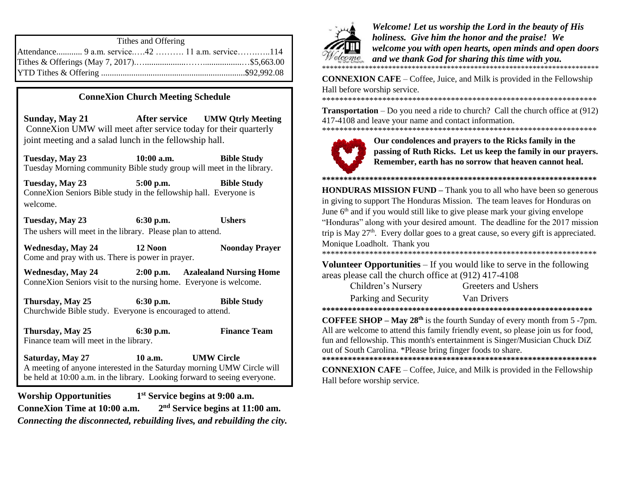| Tithes and Offering                             |  |  |
|-------------------------------------------------|--|--|
| Attendance 9 a.m. service42  11 a.m. service114 |  |  |
|                                                 |  |  |
|                                                 |  |  |

## **ConneXion Church Meeting Schedule**

**UMW Qtrly Meeting Sunday, May 21 After service** ConneXion UMW will meet after service today for their quarterly joint meeting and a salad lunch in the fellowship hall.

Tuesday, May 23  $10:00$  a.m. **Bible Study** Tuesday Morning community Bible study group will meet in the library.

Tuesday, May 23 5:00 p.m. **Bible Study** ConneXion Seniors Bible study in the fellowship hall. Everyone is welcome.

6:30 p.m. **Ushers** Tuesday, May 23 The ushers will meet in the library. Please plan to attend.

12 Noon **Noonday Prayer Wednesday, May 24** Come and pray with us. There is power in prayer.

**Wednesday, May 24**  $2:00$  p.m. **Azalealand Nursing Home** Connexion Seniors visit to the nursing home. Everyone is welcome.

Thursday, May 25  $6:30$  p.m. **Bible Study** Churchwide Bible study. Everyone is encouraged to attend.

Thursday, May 25 6:30 p.m. **Finance Team** Finance team will meet in the library.

Saturday, May 27  $10a.m.$ **UMW Circle** A meeting of anyone interested in the Saturday morning UMW Circle will be held at 10:00 a.m. in the library. Looking forward to seeing everyone.

**Worship Opportunities**  $1<sup>st</sup>$  Service begins at 9:00 a.m.  $2<sup>nd</sup>$  Service begins at 11:00 am. ConneXion Time at 10:00 a.m. Connecting the disconnected, rebuilding lives, and rebuilding the city.



Welcome! Let us worship the Lord in the beauty of His holiness. Give him the honor and the praise! We welcome you with open hearts, open minds and open doors and we thank God for sharing this time with you.

**CONNEXION CAFE** – Coffee, Juice, and Milk is provided in the Fellowship Hall before worship service.

**Transportation** – Do you need a ride to church? Call the church office at  $(912)$ 417-4108 and leave your name and contact information. 



Our condolences and prayers to the Ricks family in the passing of Ruth Ricks. Let us keep the family in our prayers. Remember, earth has no sorrow that heaven cannot heal.

**HONDURAS MISSION FUND – Thank you to all who have been so generous** in giving to support The Honduras Mission. The team leaves for Honduras on June 6<sup>th</sup> and if you would still like to give please mark your giving envelope "Honduras" along with your desired amount. The deadline for the 2017 mission trip is May  $27<sup>th</sup>$ . Every dollar goes to a great cause, so every gift is appreciated. Monique Loadholt. Thank you 

Volunteer Opportunities  $-$  If you would like to serve in the following areas please call the church office at (912) 417-4108

| Children's Nursery   | Greeters and Ushers |
|----------------------|---------------------|
| Parking and Security | Van Drivers         |

**COFFEE SHOP – May 28<sup>th</sup>** is the fourth Sunday of every month from 5 -7pm. All are welcome to attend this family friendly event, so please join us for food, fun and fellowship. This month's entertainment is Singer/Musician Chuck DiZ out of South Carolina. \*Please bring finger foods to share.

**CONNEXION CAFE** – Coffee, Juice, and Milk is provided in the Fellowship Hall before worship service.